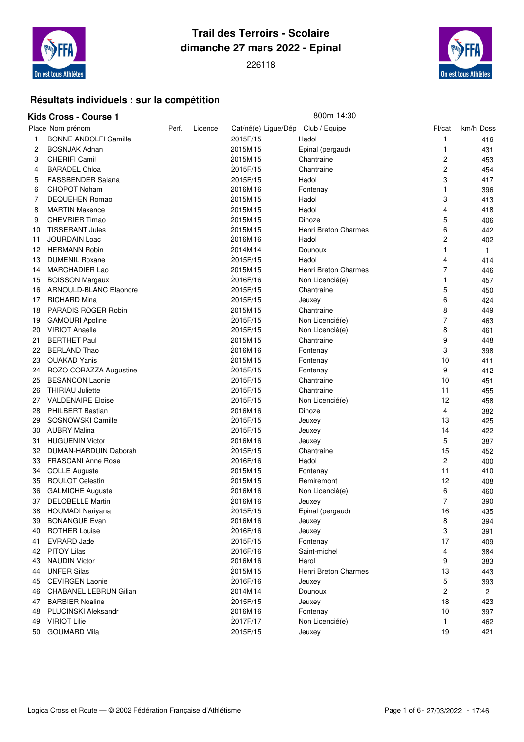

## **Trail des Terroirs - Scolaire dimanche 27 mars 2022 - Epinal**



#### **Résultats individuels : sur la compétition**

#### **Kids Cross - Course 1** 800m 14:30

|          | Place Nom prénom              | Perf. | Licence | Cat/né(e) Ligue/Dép Club / Equipe |                      | Pl/cat         | km/h Doss      |
|----------|-------------------------------|-------|---------|-----------------------------------|----------------------|----------------|----------------|
| 1        | <b>BONNE ANDOLFI Camille</b>  |       |         | 2015F/15                          | Hadol                | 1              | 416            |
| 2        | <b>BOSNJAK Adnan</b>          |       |         | 2015M15                           | Epinal (pergaud)     | 1              | 431            |
| 3        | <b>CHERIFI Camil</b>          |       |         | 2015M15                           | Chantraine           | 2              | 453            |
| 4        | <b>BARADEL Chloa</b>          |       |         | 2015F/15                          | Chantraine           | 2              | 454            |
| 5        | <b>FASSBENDER Salana</b>      |       |         | 2015F/15                          | Hadol                | 3              | 417            |
| 6        | <b>CHOPOT Noham</b>           |       |         | 2016M16                           | Fontenay             | 1              | 396            |
| 7        | <b>DEQUEHEN Romao</b>         |       |         | 2015M15                           | Hadol                | 3              | 413            |
| 8        | <b>MARTIN Maxence</b>         |       |         | 2015M15                           | Hadol                | 4              | 418            |
| 9        | <b>CHEVRIER Timao</b>         |       |         | 2015M15                           | Dinoze               | 5              | 406            |
| 10       | <b>TISSERANT Jules</b>        |       |         | 2015M15                           | Henri Breton Charmes | 6              | 442            |
| 11       | <b>JOURDAIN Loac</b>          |       |         | 2016M16                           | Hadol                | 2              | 402            |
| 12       | <b>HERMANN Robin</b>          |       |         | 2014M14                           | Dounoux              | 1              | $\mathbf{1}$   |
| 13       | <b>DUMENIL Roxane</b>         |       |         | 2015F/15                          | Hadol                | 4              | 414            |
| 14       | <b>MARCHADIER Lao</b>         |       |         | 2015M15                           | Henri Breton Charmes | 7              | 446            |
| 15       | <b>BOISSON Margaux</b>        |       |         | 2016F/16                          | Non Licencié(e)      | 1              | 457            |
| 16       | ARNOULD-BLANC Elaonore        |       |         | 2015F/15                          | Chantraine           | 5              | 450            |
| 17       | <b>RICHARD Mina</b>           |       |         | 2015F/15                          | Jeuxey               | 6              | 424            |
| 18       | PARADIS ROGER Robin           |       |         | 2015M15                           | Chantraine           | 8              | 449            |
| 19       | <b>GAMOURI Apoline</b>        |       |         | 2015F/15                          | Non Licencié(e)      | 7              | 463            |
| 20       | <b>VIRIOT Anaelle</b>         |       |         | 2015F/15                          | Non Licencié(e)      | 8              | 461            |
| 21       | <b>BERTHET Paul</b>           |       |         | 2015M15                           | Chantraine           | 9              | 448            |
| 22       | <b>BERLAND Thao</b>           |       |         | 2016M16                           | Fontenay             | 3              | 398            |
| 23       | <b>OUAKAD Yanis</b>           |       |         | 2015M15                           | Fontenay             | 10             | 411            |
| 24       | ROZO CORAZZA Augustine        |       |         | 2015F/15                          | Fontenay             | 9              | 412            |
| 25       | <b>BESANCON Laonie</b>        |       |         | 2015F/15                          | Chantraine           | 10             | 451            |
| 26       | <b>THIRIAU Juliette</b>       |       |         | 2015F/15                          | Chantraine           | 11             | 455            |
| 27       | <b>VALDENAIRE Eloise</b>      |       |         | 2015F/15                          | Non Licencié(e)      | 12             | 458            |
| 28       | <b>PHILBERT Bastian</b>       |       |         | 2016M16                           | Dinoze               | 4              | 382            |
| 29       | SOSNOWSKI Camille             |       |         | 2015F/15                          | Jeuxey               | 13             | 425            |
| 30       | <b>AUBRY Malina</b>           |       |         | 2015F/15                          | Jeuxey               | 14             | 422            |
| 31       | <b>HUGUENIN Victor</b>        |       |         | 2016M16                           | Jeuxey               | 5              | 387            |
| 32       | DUMAN-HARDUIN Daborah         |       |         | 2015F/15                          | Chantraine           | 15             | 452            |
| 33       | <b>FRASCANI Anne Rose</b>     |       |         | 2016F/16                          | Hadol                | $\overline{c}$ | 400            |
| 34       | <b>COLLE Auguste</b>          |       |         | 2015M15                           | Fontenay             | 11             | 410            |
| 35       | <b>ROULOT Celestin</b>        |       |         | 2015M15                           | Remiremont           | 12             | 408            |
| 36       | <b>GALMICHE Auguste</b>       |       |         | 2016M16                           | Non Licencié(e)      | 6              | 460            |
| 37       | <b>DELOBELLE Martin</b>       |       |         | 2016M16                           | Jeuxey               | $\overline{7}$ | 390            |
| 38       | <b>HOUMADI Nariyana</b>       |       |         | 2015F/15                          | Epinal (pergaud)     | 16             | 435            |
| 39       | <b>BONANGUE Evan</b>          |       |         | 2016M16                           | Jeuxey               | 8              | 394            |
| 40       | <b>ROTHER Louise</b>          |       |         | 2016F/16                          | Jeuxey               | 3              | 391            |
| 41       | <b>EVRARD Jade</b>            |       |         | 2015F/15                          | Fontenay             | 17             | 409            |
| 42       | <b>PITOY Lilas</b>            |       |         | 2016F/16                          | Saint-michel         | 4              | 384            |
| 43       | <b>NAUDIN Victor</b>          |       |         | 2016M16                           | Harol                | 9              | 383            |
| 44       | <b>UNFER Silas</b>            |       |         | 2015M15                           | Henri Breton Charmes | 13             | 443            |
| 45       | <b>CEVIRGEN Laonie</b>        |       |         | 2016F/16                          | Jeuxey               | 5              | 393            |
|          | <b>CHABANEL LEBRUN Gilian</b> |       |         | 2014M14                           | Dounoux              | $\overline{c}$ |                |
| 46<br>47 | <b>BARBIER Noaline</b>        |       |         | 2015F/15                          | Jeuxey               | 18             | $\overline{2}$ |
|          | <b>PLUCINSKI Aleksandr</b>    |       |         | 2016M16                           |                      | 10             | 423            |
| 48       | <b>VIRIOT Lilie</b>           |       |         | 2017F/17                          | Fontenay             | 1              | 397<br>462     |
| 49       |                               |       |         |                                   | Non Licencié(e)      |                |                |
| 50       | <b>GOUMARD Mila</b>           |       |         | 2015F/15                          | Jeuxey               | 19             | 421            |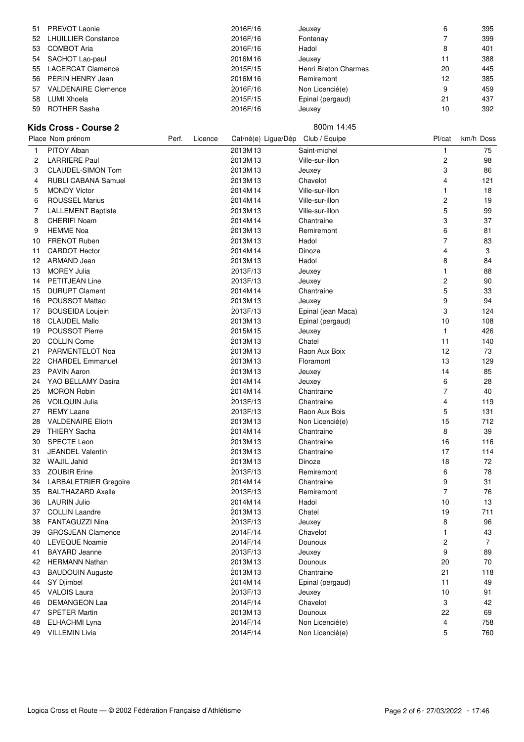| 51 | <b>PREVOT Laonie</b>       | 2016F/16 | Jeuxey               | 6  | 395 |
|----|----------------------------|----------|----------------------|----|-----|
| 52 | <b>LHUILLIER Constance</b> | 2016F/16 | Fontenay             |    | 399 |
| 53 | <b>COMBOT Aria</b>         | 2016F/16 | Hadol                | 8  | 401 |
| 54 | SACHOT Lao-paul            | 2016M16  | Jeuxey               |    | 388 |
| 55 | <b>LACERCAT Clamence</b>   | 2015F/15 | Henri Breton Charmes | 20 | 445 |
|    | 56 PERIN HENRY Jean        | 2016M16  | Remiremont           | 12 | 385 |
| 57 | <b>VALDENAIRE Clemence</b> | 2016F/16 | Non Licencié(e)      | 9  | 459 |
| 58 | LUMI Xhoela                | 2015F/15 | Epinal (pergaud)     | 21 | 437 |
| 59 | <b>ROTHER Sasha</b>        | 2016F/16 | Jeuxey               |    | 392 |

### **Kids Cross - Course 2** 800m 14:45

|    | Place Nom prénom             | Perf. | Licence |          | Cat/né(e) Ligue/Dép Club / Equipe | Pl/cat                  | km/h Doss      |
|----|------------------------------|-------|---------|----------|-----------------------------------|-------------------------|----------------|
| 1  | PITOY Alban                  |       |         | 2013M13  | Saint-michel                      | 1                       | 75             |
| 2  | <b>LARRIERE Paul</b>         |       |         | 2013M13  | Ville-sur-illon                   | $\overline{\mathbf{c}}$ | 98             |
| 3  | <b>CLAUDEL-SIMON Tom</b>     |       |         | 2013M13  | Jeuxey                            | 3                       | 86             |
| 4  | RUBLI CABANA Samuel          |       |         | 2013M13  | Chavelot                          | 4                       | 121            |
| 5  | <b>MONDY Victor</b>          |       |         | 2014M14  | Ville-sur-illon                   | 1                       | 18             |
| 6  | <b>ROUSSEL Marius</b>        |       |         | 2014M14  | Ville-sur-illon                   | 2                       | 19             |
| 7  | <b>LALLEMENT Baptiste</b>    |       |         | 2013M13  | Ville-sur-illon                   | 5                       | 99             |
| 8  | <b>CHERIFI Noam</b>          |       |         | 2014M14  | Chantraine                        | 3                       | 37             |
| 9  | <b>HEMME Noa</b>             |       |         | 2013M13  | Remiremont                        | 6                       | 81             |
| 10 | <b>FRENOT Ruben</b>          |       |         | 2013M13  | Hadol                             | 7                       | 83             |
| 11 | <b>CARDOT Hector</b>         |       |         | 2014M14  | Dinoze                            | 4                       | 3              |
| 12 | ARMAND Jean                  |       |         | 2013M13  | Hadol                             | 8                       | 84             |
| 13 | <b>MOREY Julia</b>           |       |         | 2013F/13 | Jeuxey                            | 1                       | 88             |
| 14 | <b>PETITJEAN Line</b>        |       |         | 2013F/13 | Jeuxey                            | $\overline{c}$          | 90             |
| 15 | <b>DURUPT Clament</b>        |       |         | 2014M14  | Chantraine                        | 5                       | 33             |
| 16 | POUSSOT Mattao               |       |         | 2013M13  | Jeuxey                            | 9                       | 94             |
| 17 | <b>BOUSEIDA Loujein</b>      |       |         | 2013F/13 | Epinal (jean Maca)                | 3                       | 124            |
| 18 | <b>CLAUDEL Mallo</b>         |       |         | 2013M13  | Epinal (pergaud)                  | 10                      | 108            |
| 19 | <b>POUSSOT Pierre</b>        |       |         | 2015M15  | Jeuxey                            | $\mathbf{1}$            | 426            |
| 20 | <b>COLLIN Come</b>           |       |         | 2013M13  | Chatel                            | 11                      | 140            |
| 21 | PARMENTELOT Noa              |       |         | 2013M13  | Raon Aux Boix                     | 12                      | 73             |
| 22 | <b>CHARDEL Emmanuel</b>      |       |         | 2013M13  | Floramont                         | 13                      | 129            |
| 23 | <b>PAVIN Aaron</b>           |       |         | 2013M13  | Jeuxey                            | 14                      | 85             |
| 24 | YAO BELLAMY Dasira           |       |         | 2014M14  | Jeuxey                            | 6                       | 28             |
| 25 | <b>MORON Robin</b>           |       |         | 2014M14  | Chantraine                        | 7                       | 40             |
| 26 | <b>VOILQUIN Julia</b>        |       |         | 2013F/13 | Chantraine                        | 4                       | 119            |
| 27 | <b>REMY Laane</b>            |       |         | 2013F/13 | Raon Aux Bois                     | 5                       | 131            |
| 28 | <b>VALDENAIRE Elioth</b>     |       |         | 2013M13  | Non Licencié(e)                   | 15                      | 712            |
| 29 | <b>THIERY Sacha</b>          |       |         | 2014M14  | Chantraine                        | 8                       | 39             |
| 30 | <b>SPECTE Leon</b>           |       |         | 2013M13  | Chantraine                        | 16                      | 116            |
| 31 | <b>JEANDEL Valentin</b>      |       |         | 2013M13  | Chantraine                        | 17                      | 114            |
| 32 | <b>WAJIL Jahid</b>           |       |         | 2013M13  | Dinoze                            | 18                      | 72             |
| 33 | <b>ZOUBIR Erine</b>          |       |         | 2013F/13 | Remiremont                        | 6                       | 78             |
| 34 | <b>LARBALETRIER Gregoire</b> |       |         | 2014M14  | Chantraine                        | 9                       | 31             |
| 35 | <b>BALTHAZARD Axelle</b>     |       |         | 2013F/13 | Remiremont                        | $\overline{7}$          | 76             |
| 36 | <b>LAURIN Julio</b>          |       |         | 2014M14  | Hadol                             | 10                      | 13             |
| 37 | <b>COLLIN Laandre</b>        |       |         | 2013M13  | Chatel                            | 19                      | 711            |
| 38 | <b>FANTAGUZZI Nina</b>       |       |         | 2013F/13 | Jeuxey                            | 8                       | 96             |
| 39 | <b>GROSJEAN Clamence</b>     |       |         | 2014F/14 | Chavelot                          |                         | 43             |
| 40 | <b>LEVEQUE Noamie</b>        |       |         | 2014F/14 | Dounoux                           | 2                       | $\overline{7}$ |
| 41 | <b>BAYARD Jeanne</b>         |       |         | 2013F/13 | Jeuxey                            | 9                       | 89             |
| 42 | <b>HERMANN Nathan</b>        |       |         | 2013M13  | Dounoux                           | 20                      | 70             |
| 43 | <b>BAUDOUIN Auguste</b>      |       |         | 2013M13  | Chantraine                        | 21                      | 118            |
| 44 | SY Djimbel                   |       |         | 2014M14  | Epinal (pergaud)                  | 11                      | 49             |
| 45 | <b>VALOIS Laura</b>          |       |         | 2013F/13 | Jeuxey                            | 10                      | 91             |
| 46 | <b>DEMANGEON Laa</b>         |       |         | 2014F/14 | Chavelot                          | 3                       | 42             |
| 47 | <b>SPETER Martin</b>         |       |         | 2013M13  | Dounoux                           | 22                      | 69             |
| 48 | ELHACHMI Lyna                |       |         | 2014F/14 | Non Licencié(e)                   | 4                       | 758            |
| 49 | <b>VILLEMIN Livia</b>        |       |         | 2014F/14 | Non Licencié(e)                   | 5                       | 760            |
|    |                              |       |         |          |                                   |                         |                |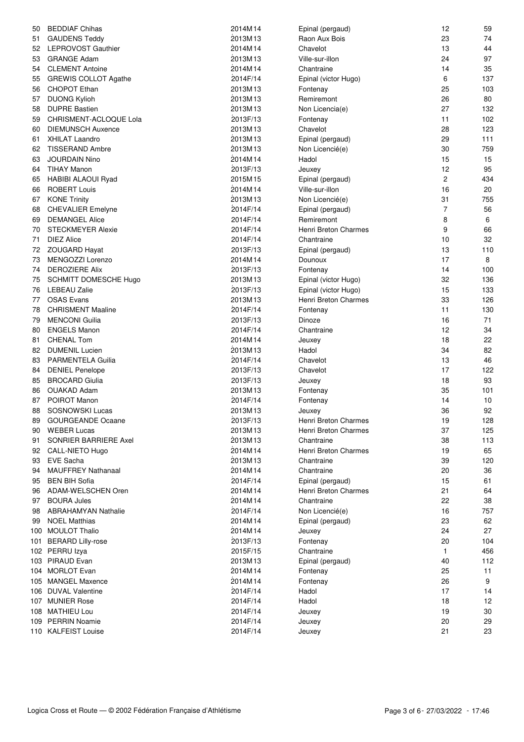| 50       | <b>BEDDIAF Chihas</b>                           | 2014M14            | Epinal (pergaud)     | 12           | 59       |
|----------|-------------------------------------------------|--------------------|----------------------|--------------|----------|
| 51       | <b>GAUDENS Teddy</b>                            | 2013M13            | Raon Aux Bois        | 23           | 74       |
| 52       | <b>LEPROVOST Gauthier</b>                       | 2014M14            | Chavelot             | 13           | 44       |
| 53       | <b>GRANGE Adam</b>                              | 2013M13            | Ville-sur-illon      | 24           | 97       |
| 54       | <b>CLEMENT Antoine</b>                          | 2014M14            | Chantraine           | 14           | 35       |
| 55       | <b>GREWIS COLLOT Agathe</b>                     | 2014F/14           | Epinal (victor Hugo) | 6            | 137      |
| 56       | <b>CHOPOT Ethan</b>                             | 2013M13            | Fontenay             | 25           | 103      |
| 57       | <b>DUONG Kylioh</b>                             | 2013M13            | Remiremont           | 26           | 80       |
| 58       | <b>DUPRE Bastien</b>                            | 2013M13            | Non Licencia(e)      | 27           | 132      |
| 59       | CHRISMENT-ACLOQUE Lola                          | 2013F/13           | Fontenay             | 11           | 102      |
| 60       | <b>DIEMUNSCH Auxence</b>                        | 2013M13            | Chavelot             | 28           | 123      |
| 61       | <b>XHILAT Laandro</b>                           | 2013M13            | Epinal (pergaud)     | 29           | 111      |
| 62       | <b>TISSERAND Ambre</b>                          | 2013M13            | Non Licencié(e)      | 30           | 759      |
| 63       | <b>JOURDAIN Nino</b>                            | 2014M14            | Hadol                | 15           | 15       |
| 64       | <b>TIHAY Manon</b>                              | 2013F/13           | Jeuxey               | 12           | 95       |
| 65       | <b>HABIBI ALAOUI Ryad</b>                       | 2015M15            | Epinal (pergaud)     | $\mathbf{2}$ | 434      |
| 66       | <b>ROBERT Louis</b>                             | 2014M14            | Ville-sur-illon      | 16           | 20       |
| 67       | <b>KONE Trinity</b>                             | 2013M13            | Non Licencié(e)      | 31           | 755      |
| 68       | <b>CHEVALIER Emelyne</b>                        | 2014F/14           | Epinal (pergaud)     | 7            | 56       |
| 69       | <b>DEMANGEL Alice</b>                           | 2014F/14           | Remiremont           | 8            | 6        |
| 70       | <b>STECKMEYER Alexie</b>                        | 2014F/14           | Henri Breton Charmes | 9            | 66       |
| 71       | <b>DIEZ Alice</b>                               | 2014F/14           | Chantraine           | 10           | 32       |
| 72       | <b>ZOUGARD Hayat</b>                            | 2013F/13           | Epinal (pergaud)     | 13           | 110      |
| 73       | MENGOZZI Lorenzo                                | 2014M14            | Dounoux              | 17           | 8        |
| 74       | <b>DEROZIERE Alix</b>                           | 2013F/13           | Fontenay             | 14           | 100      |
| 75       | SCHMITT DOMESCHE Hugo                           | 2013M13            | Epinal (victor Hugo) | 32           | 136      |
| 76       | <b>LEBEAU Zalie</b>                             | 2013F/13           | Epinal (victor Hugo) | 15           | 133      |
| 77       | <b>OSAS Evans</b>                               | 2013M13            | Henri Breton Charmes | 33           | 126      |
| 78       | <b>CHRISMENT Maaline</b>                        | 2014F/14           | Fontenay             | 11           | 130      |
| 79       | <b>MENCONI Guilia</b>                           | 2013F/13           | Dinoze               | 16           | 71       |
| 80       | <b>ENGELS Manon</b>                             | 2014F/14           | Chantraine           | 12           | 34       |
| 81       | <b>CHENAL Tom</b>                               | 2014M14            | Jeuxey               | 18           | 22       |
| 82       | <b>DUMENIL Lucien</b>                           | 2013M13            | Hadol                | 34           | 82       |
| 83       | <b>PARMENTELA Guilia</b>                        | 2014F/14           | Chavelot             | 13           | 46       |
|          |                                                 | 2013F/13           | Chavelot             | 17           | 122      |
| 84       | <b>DENIEL Penelope</b><br><b>BROCARD Giulia</b> | 2013F/13           |                      | 18           | 93       |
| 85<br>86 | <b>OUAKAD Adam</b>                              | 2013M13            | Jeuxey               | 35           | 101      |
|          | POIROT Manon                                    | 2014F/14           | Fontenay             | 14           |          |
| 87       | <b>SOSNOWSKI Lucas</b>                          |                    | Fontenay             | 36           | 10<br>92 |
| 88       |                                                 | 2013M13            | Jeuxey               |              |          |
| 89       | <b>GOURGEANDE Ocaane</b>                        | 2013F/13           | Henri Breton Charmes | 19           | 128      |
|          | 90 WEBER Lucas                                  | 2013M13<br>2013M13 | Henri Breton Charmes | 37           | 125      |
| 91       | SONRIER BARRIERE Axel                           |                    | Chantraine           | 38           | 113      |
| 92       | <b>CALL-NIETO Hugo</b>                          | 2014M14            | Henri Breton Charmes | 19           | 65       |
| 93       | EVE Sacha                                       | 2013M13            | Chantraine           | 39           | 120      |
| 94       | <b>MAUFFREY Nathanaal</b>                       | 2014M14            | Chantraine           | 20           | 36       |
| 95       | <b>BEN BIH Sofia</b>                            | 2014F/14           | Epinal (pergaud)     | 15           | 61       |
| 96       | ADAM-WELSCHEN Oren                              | 2014M14            | Henri Breton Charmes | 21           | 64       |
| 97       | <b>BOURA Jules</b>                              | 2014M14            | Chantraine           | 22           | 38       |
| 98       | ABRAHAMYAN Nathalie                             | 2014F/14           | Non Licencié(e)      | 16           | 757      |
| 99       | <b>NOEL Matthias</b>                            | 2014M14            | Epinal (pergaud)     | 23           | 62       |
|          | 100 MOULOT Thalio                               | 2014M14            | Jeuxey               | 24           | 27       |
|          | 101 BERARD Lilly-rose                           | 2013F/13           | Fontenay             | 20           | 104      |
|          | 102 PERRU Izya                                  | 2015F/15           | Chantraine           | 1            | 456      |
|          | 103 PIRAUD Evan                                 | 2013M13            | Epinal (pergaud)     | 40           | 112      |
|          | 104 MORLOT Evan                                 | 2014M14            | Fontenay             | 25           | 11       |
|          | 105 MANGEL Maxence                              | 2014M14            | Fontenay             | 26           | 9        |
|          | 106 DUVAL Valentine                             | 2014F/14           | Hadol                | 17           | 14       |
|          | 107 MUNIER Rose                                 | 2014F/14           | Hadol                | 18           | 12       |
|          | 108 MATHIEU Lou                                 | 2014F/14           | Jeuxey               | 19           | $30\,$   |
|          | 109 PERRIN Noamie                               | 2014F/14           | Jeuxey               | 20           | 29       |
|          | 110 KALFEIST Louise                             | 2014F/14           | Jeuxey               | 21           | 23       |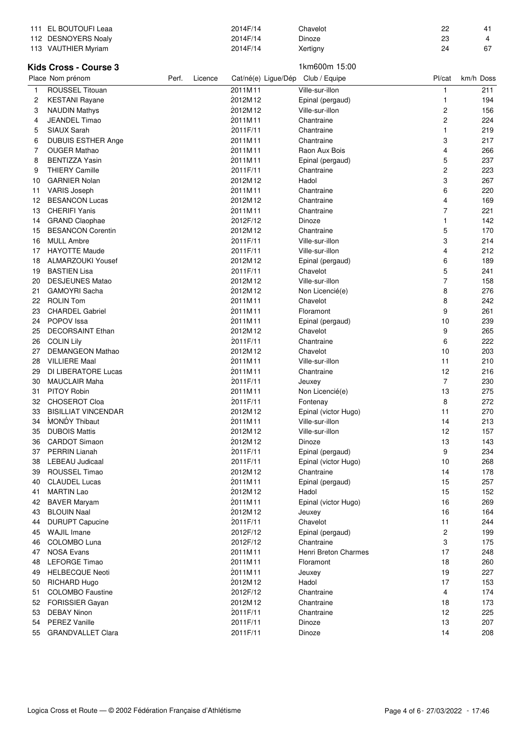|    | 111 EL BOUTOUFI Leaa                         |       |         | 2014F/14            | Chavelot               | 22                      | 41         |
|----|----------------------------------------------|-------|---------|---------------------|------------------------|-------------------------|------------|
|    | 112 DESNOYERS Noaly                          |       |         | 2014F/14            | Dinoze                 | 23                      | 4          |
|    | 113 VAUTHIER Myriam                          |       |         | 2014F/14            | Xertigny               | 24                      | 67         |
|    |                                              |       |         |                     |                        |                         |            |
|    | <b>Kids Cross - Course 3</b>                 |       |         |                     | 1km600m 15:00          |                         |            |
|    | Place Nom prénom                             | Perf. | Licence | Cat/né(e) Ligue/Dép | Club / Equipe          | Pl/cat                  | km/h Doss  |
| 1  | <b>ROUSSEL Titouan</b>                       |       |         | 2011M11             | Ville-sur-illon        | 1                       | 211        |
|    |                                              |       |         | 2012M12             |                        | 1                       |            |
| 2  | <b>KESTANI Rayane</b>                        |       |         | 2012M12             | Epinal (pergaud)       |                         | 194        |
| 3  | <b>NAUDIN Mathys</b>                         |       |         |                     | Ville-sur-illon        | $\overline{\mathbf{c}}$ | 156        |
| 4  | JEANDEL Timao                                |       |         | 2011M11             | Chantraine             | 2                       | 224        |
| 5  | <b>SIAUX Sarah</b>                           |       |         | 2011F/11            | Chantraine             | 1                       | 219        |
| 6  | <b>DUBUIS ESTHER Ange</b>                    |       |         | 2011M11             | Chantraine             | 3                       | 217        |
| 7  | <b>OUGER Mathao</b>                          |       |         | 2011M11             | Raon Aux Bois          | 4                       | 266        |
| 8  | <b>BENTIZZA Yasin</b>                        |       |         | 2011M11             | Epinal (pergaud)       | 5                       | 237        |
| 9  | <b>THIERY Camille</b>                        |       |         | 2011F/11            | Chantraine             | $\overline{c}$          | 223        |
| 10 | <b>GARNIER Nolan</b>                         |       |         | 2012M12             | Hadol                  | 3                       | 267        |
| 11 | <b>VARIS Joseph</b>                          |       |         | 2011M11             | Chantraine             | 6                       | 220        |
| 12 | <b>BESANCON Lucas</b>                        |       |         | 2012M12             | Chantraine             | 4                       | 169        |
| 13 | <b>CHERIFI Yanis</b>                         |       |         | 2011M11             | Chantraine             | $\overline{7}$          | 221        |
| 14 | <b>GRAND Claophae</b>                        |       |         | 2012F/12            | Dinoze                 | 1                       | 142        |
| 15 | <b>BESANCON Corentin</b>                     |       |         | 2012M12             | Chantraine             | 5                       | 170        |
| 16 | <b>MULL Ambre</b>                            |       |         | 2011F/11            | Ville-sur-illon        | 3                       | 214        |
| 17 | <b>HAYOTTE Maude</b>                         |       |         | 2011F/11            | Ville-sur-illon        | 4                       | 212        |
| 18 | <b>ALMARZOUKI Yousef</b>                     |       |         | 2012M12             | Epinal (pergaud)       | 6                       | 189        |
| 19 | <b>BASTIEN Lisa</b>                          |       |         | 2011F/11            | Chavelot               | 5                       | 241        |
| 20 | <b>DESJEUNES Matao</b>                       |       |         | 2012M12             | Ville-sur-illon        | $\overline{7}$          | 158        |
| 21 | <b>GAMOYRI Sacha</b>                         |       |         | 2012M12             | Non Licencié(e)        | 8                       | 276        |
| 22 | <b>ROLIN Tom</b>                             |       |         | 2011M11             | Chavelot               | 8                       | 242        |
| 23 | <b>CHARDEL Gabriel</b>                       |       |         | 2011M11             | Floramont              | 9                       | 261        |
| 24 | POPOV Issa                                   |       |         | 2011M11             | Epinal (pergaud)       | 10                      | 239        |
| 25 | <b>DECORSAINT Ethan</b>                      |       |         | 2012M12             | Chavelot               | 9                       | 265        |
|    |                                              |       |         | 2011F/11            |                        | 6                       | 222        |
| 26 | <b>COLIN Lily</b><br><b>DEMANGEON Mathao</b> |       |         | 2012M12             | Chantraine<br>Chavelot | 10                      |            |
| 27 |                                              |       |         |                     |                        |                         | 203        |
| 28 | <b>VILLIERE Maal</b>                         |       |         | 2011M11             | Ville-sur-illon        | 11                      | 210        |
| 29 | <b>DI LIBERATORE Lucas</b>                   |       |         | 2011M11             | Chantraine             | 12                      | 216        |
| 30 | <b>MAUCLAIR Maha</b>                         |       |         | 2011F/11            | Jeuxey                 | $\overline{7}$          | 230        |
| 31 | <b>PITOY Robin</b>                           |       |         | 2011M11             | Non Licencié(e)        | 13                      | 275        |
| 32 | CHOSEROT Cloa                                |       |         | 2011F/11            | Fontenay               | 8                       | 272        |
| 33 | <b>BISILLIAT VINCENDAR</b>                   |       |         | 2012M12             | Epinal (victor Hugo)   | 11                      | 270        |
| 34 | MONDY Thibaut                                |       |         | 2011M11             | Ville-sur-illon        | 14                      | 213        |
| 35 | <b>DUBOIS Mattis</b>                         |       |         | 2012M12             | Ville-sur-illon        | 12                      | 157        |
| 36 | <b>CARDOT Simaon</b>                         |       |         | 2012M12             | Dinoze                 | 13                      | 143        |
| 37 | PERRIN Lianah                                |       |         | 2011F/11            | Epinal (pergaud)       | 9                       | 234        |
| 38 | <b>LEBEAU Judicaal</b>                       |       |         | 2011F/11            | Epinal (victor Hugo)   | 10                      | 268        |
| 39 | ROUSSEL Timao                                |       |         | 2012M12             | Chantraine             | 14                      | 178        |
| 40 | <b>CLAUDEL Lucas</b>                         |       |         | 2011M11             | Epinal (pergaud)       | 15                      | 257        |
| 41 | <b>MARTIN Lao</b>                            |       |         | 2012M12             | Hadol                  | 15                      | 152        |
| 42 | <b>BAVER Maryam</b>                          |       |         | 2011M11             | Epinal (victor Hugo)   | 16                      | 269        |
| 43 | <b>BLOUIN Naal</b>                           |       |         | 2012M12             | Jeuxey                 | 16                      | 164        |
| 44 | <b>DURUPT Capucine</b>                       |       |         | 2011F/11            | Chavelot               | 11                      | 244        |
| 45 | <b>WAJIL Imane</b>                           |       |         | 2012F/12            | Epinal (pergaud)       | 2                       | 199        |
| 46 | COLOMBO Luna                                 |       |         | 2012F/12            | Chantraine             | 3                       | 175        |
| 47 | <b>NOSA Evans</b>                            |       |         | 2011M11             | Henri Breton Charmes   | 17                      | 248        |
| 48 | <b>LEFORGE Timao</b>                         |       |         | 2011M11             | Floramont              | 18                      | 260        |
| 49 | <b>HELBECQUE Neoti</b>                       |       |         | 2011M11             | Jeuxey                 | 19                      | 227        |
|    |                                              |       |         | 2012M12             | Hadol                  | 17                      |            |
| 50 | RICHARD Hugo                                 |       |         |                     |                        |                         | 153<br>174 |
| 51 | <b>COLOMBO Faustine</b>                      |       |         | 2012F/12            | Chantraine             | 4                       |            |
| 52 | <b>FORISSIER Gayan</b>                       |       |         | 2012M12             | Chantraine             | 18                      | 173        |
| 53 | <b>DEBAY Ninon</b>                           |       |         | 2011F/11            | Chantraine             | 12                      | 225        |
| 54 | <b>PEREZ Vanille</b>                         |       |         | 2011F/11            | Dinoze                 | 13                      | 207        |
| 55 | <b>GRANDVALLET Clara</b>                     |       |         | 2011F/11            | Dinoze                 | 14                      | 208        |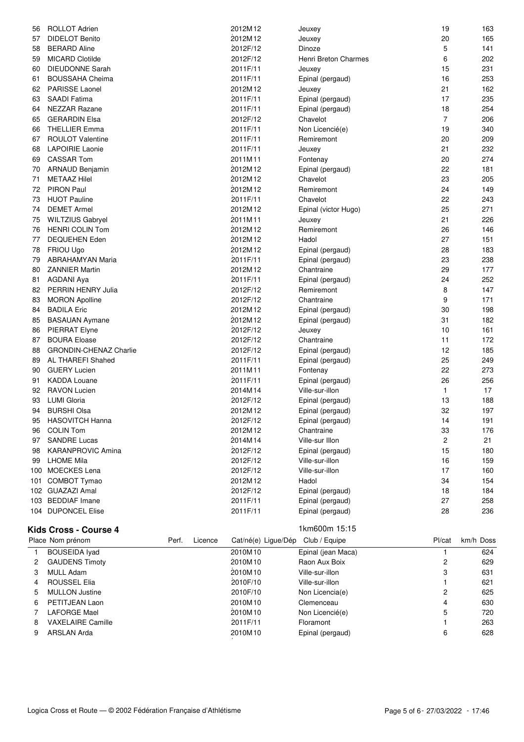| 56  | <b>ROLLOT Adrien</b>          | 2012M12  | Jeuxey               | 19             | 163 |
|-----|-------------------------------|----------|----------------------|----------------|-----|
| 57  | <b>DIDELOT Benito</b>         | 2012M12  | Jeuxey               | 20             | 165 |
| 58  | <b>BERARD Aline</b>           | 2012F/12 | Dinoze               | 5              | 141 |
| 59  | <b>MICARD Clotilde</b>        | 2012F/12 | Henri Breton Charmes | 6              | 202 |
| 60  | <b>DIEUDONNE Sarah</b>        | 2011F/11 | Jeuxey               | 15             | 231 |
| 61  | <b>BOUSSAHA Cheima</b>        | 2011F/11 | Epinal (pergaud)     | 16             | 253 |
| 62  | PARISSE Laonel                | 2012M12  | Jeuxey               | 21             | 162 |
| 63  | <b>SAADI Fatima</b>           | 2011F/11 | Epinal (pergaud)     | 17             | 235 |
| 64  | <b>NEZZAR Razane</b>          | 2011F/11 | Epinal (pergaud)     | 18             | 254 |
| 65  | <b>GERARDIN Elsa</b>          | 2012F/12 | Chavelot             | $\overline{7}$ | 206 |
| 66  | <b>THELLIER Emma</b>          | 2011F/11 | Non Licencié(e)      | 19             | 340 |
| 67  | <b>ROULOT Valentine</b>       | 2011F/11 | Remiremont           | 20             | 209 |
| 68  | <b>LAPOIRIE Laonie</b>        | 2011F/11 | Jeuxey               | 21             | 232 |
| 69  | <b>CASSAR Tom</b>             | 2011M11  | Fontenay             | 20             | 274 |
| 70  | <b>ARNAUD Benjamin</b>        | 2012M12  | Epinal (pergaud)     | 22             | 181 |
| 71  | <b>METAAZ Hilel</b>           | 2012M12  | Chavelot             | 23             | 205 |
| 72  | <b>PIRON Paul</b>             | 2012M12  | Remiremont           | 24             | 149 |
| 73  | <b>HUOT Pauline</b>           | 2011F/11 | Chavelot             | 22             | 243 |
| 74  | <b>DEMET Armel</b>            | 2012M12  | Epinal (victor Hugo) | 25             | 271 |
| 75  | <b>WILTZIUS Gabryel</b>       | 2011M11  | Jeuxey               | 21             | 226 |
| 76  | <b>HENRI COLIN Tom</b>        | 2012M12  | Remiremont           | 26             | 146 |
| 77  | <b>DEQUEHEN Eden</b>          | 2012M12  | Hadol                | 27             | 151 |
| 78  | FRIOU Ugo                     | 2012M12  | Epinal (pergaud)     | 28             | 183 |
| 79  | <b>ABRAHAMYAN Maria</b>       | 2011F/11 | Epinal (pergaud)     | 23             | 238 |
| 80  | <b>ZANNIER Martin</b>         | 2012M12  | Chantraine           | 29             | 177 |
| 81  | <b>AGDANI Aya</b>             | 2011F/11 | Epinal (pergaud)     | 24             | 252 |
| 82  | PERRIN HENRY Julia            | 2012F/12 | Remiremont           | 8              | 147 |
| 83  | <b>MORON Apolline</b>         | 2012F/12 | Chantraine           | 9              | 171 |
| 84  | <b>BADILA Eric</b>            | 2012M12  | Epinal (pergaud)     | 30             | 198 |
| 85  | <b>BASAUAN Aymane</b>         | 2012M12  | Epinal (pergaud)     | 31             | 182 |
| 86  | <b>PIERRAT Elyne</b>          | 2012F/12 | Jeuxey               | 10             | 161 |
| 87  | <b>BOURA Eloase</b>           | 2012F/12 | Chantraine           | 11             | 172 |
| 88  | <b>GRONDIN-CHENAZ Charlie</b> | 2012F/12 | Epinal (pergaud)     | 12             | 185 |
| 89  | AL THAREFI Shahed             | 2011F/11 | Epinal (pergaud)     | 25             | 249 |
| 90  | <b>GUERY Lucien</b>           | 2011M11  | Fontenay             | 22             | 273 |
| 91  | <b>KADDA Louane</b>           | 2011F/11 | Epinal (pergaud)     | 26             | 256 |
| 92  | <b>RAVON Lucien</b>           | 2014M14  | Ville-sur-illon      | $\mathbf{1}$   | 17  |
| 93  | <b>LUMI Gloria</b>            | 2012F/12 | Epinal (pergaud)     | 13             | 188 |
| 94  | <b>BURSHI Olsa</b>            | 2012M12  | Epinal (pergaud)     | 32             | 197 |
| 95  | <b>HASOVITCH Hanna</b>        | 2012F/12 | Epinal (pergaud)     | 14             | 191 |
| 96  | <b>COLIN Tom</b>              | 2012M12  | Chantraine           | 33             | 176 |
| 97  | <b>SANDRE Lucas</b>           | 2014M14  | Ville-sur Illon      | 2              | 21  |
| 98  | <b>KARANPROVIC Amina</b>      | 2012F/12 | Epinal (pergaud)     | 15             | 180 |
| 99  | <b>LHOME Mila</b>             | 2012F/12 | Ville-sur-illon      | 16             | 159 |
| 100 | <b>MOECKES Lena</b>           | 2012F/12 | Ville-sur-illon      | 17             | 160 |
| 101 | COMBOT Tymao                  | 2012M12  | Hadol                | 34             | 154 |
|     | 102 GUAZAZI Amal              | 2012F/12 | Epinal (pergaud)     | 18             | 184 |
|     | 103 BEDDIAF Imane             | 2011F/11 | Epinal (pergaud)     | 27             | 258 |
|     | 104 DUPONCEL Elise            | 2011F/11 | Epinal (pergaud)     | 28             | 236 |
|     |                               |          |                      |                |     |

# **Kids Cross - Course 4** 1km600m 15:15

| 18111000111 13.13 |  |
|-------------------|--|
|                   |  |

|    | Place Nom prénom         | Perf. | Licence | Cat/né(e) Lique/Dép | Club / Equipe      | Pl/cat | km/h Doss |
|----|--------------------------|-------|---------|---------------------|--------------------|--------|-----------|
|    | <b>BOUSEIDA Ivad</b>     |       |         | 2010M10             | Epinal (jean Maca) |        | 624       |
| 2  | <b>GAUDENS Timoty</b>    |       |         | 2010M10             | Raon Aux Boix      | 2      | 629       |
|    | <b>MULL Adam</b>         |       |         | 2010M10             | Ville-sur-illon    | 3      | 631       |
| 4  | <b>ROUSSEL Elia</b>      |       |         | 2010F/10            | Ville-sur-illon    |        | 621       |
| 5. | <b>MULLON Justine</b>    |       |         | 2010F/10            | Non Licencia(e)    | 2      | 625       |
| 6  | PETITJEAN Laon           |       |         | 2010M10             | Clemenceau         | 4      | 630       |
|    | LAFORGE Mael             |       |         | 2010M10             | Non Licencié(e)    | 5      | 720       |
| 8  | <b>VAXELAIRE Camille</b> |       |         | 2011F/11            | Floramont          |        | 263       |
|    | ARSLAN Arda              |       |         | 2010M10             | Epinal (pergaud)   | 6      | 628       |

/